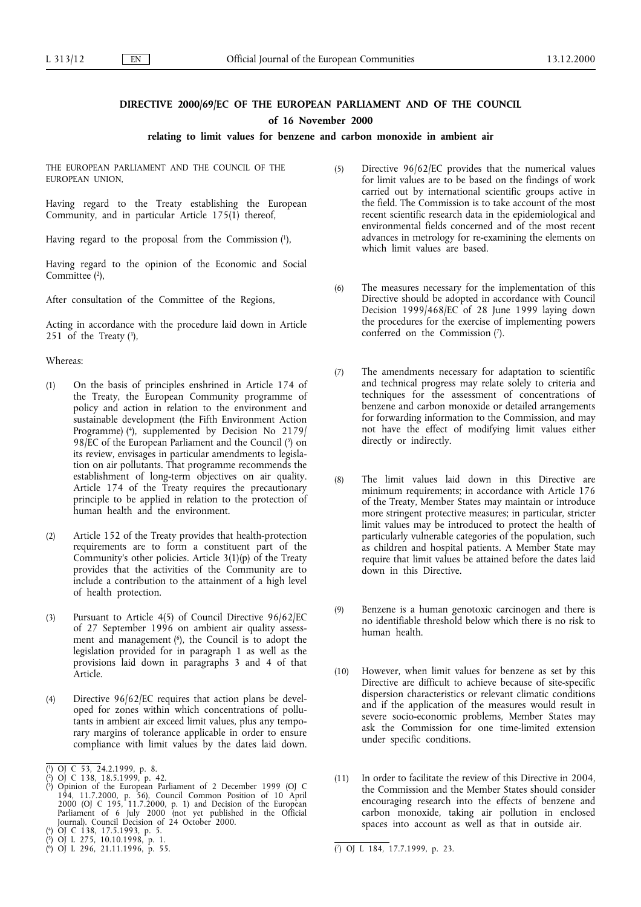# **DIRECTIVE 2000/69/EC OF THE EUROPEAN PARLIAMENT AND OF THE COUNCIL**

**of 16 November 2000**

## **relating to limit values for benzene and carbon monoxide in ambient air**

THE EUROPEAN PARLIAMENT AND THE COUNCIL OF THE EUROPEAN UNION,

Having regard to the Treaty establishing the European Community, and in particular Article 175(1) thereof,

Having regard to the proposal from the Commission (1),

Having regard to the opinion of the Economic and Social Committee<sup>(2)</sup>,

After consultation of the Committee of the Regions,

Acting in accordance with the procedure laid down in Article 251 of the Treaty  $(3)$ ,

## Whereas:

- (1) On the basis of principles enshrined in Article 174 of the Treaty, the European Community programme of policy and action in relation to the environment and sustainable development (the Fifth Environment Action Programme) (4), supplemented by Decision No 2179/ 98/EC of the European Parliament and the Council (5) on its review, envisages in particular amendments to legislation on air pollutants. That programme recommends the establishment of long-term objectives on air quality. Article 174 of the Treaty requires the precautionary principle to be applied in relation to the protection of human health and the environment.
- (2) Article 152 of the Treaty provides that health-protection requirements are to form a constituent part of the Community's other policies. Article 3(1)(p) of the Treaty provides that the activities of the Community are to include a contribution to the attainment of a high level of health protection.
- (3) Pursuant to Article 4(5) of Council Directive 96/62/EC of 27 September 1996 on ambient air quality assessment and management (6), the Council is to adopt the legislation provided for in paragraph 1 as well as the provisions laid down in paragraphs 3 and 4 of that Article.
- (4) Directive 96/62/EC requires that action plans be developed for zones within which concentrations of pollutants in ambient air exceed limit values, plus any temporary margins of tolerance applicable in order to ensure compliance with limit values by the dates laid down.

( 5) OJ L 275, 10.10.1998, p. 1.

- (5) Directive 96/62/EC provides that the numerical values for limit values are to be based on the findings of work carried out by international scientific groups active in the field. The Commission is to take account of the most recent scientific research data in the epidemiological and environmental fields concerned and of the most recent advances in metrology for re-examining the elements on which limit values are based.
- (6) The measures necessary for the implementation of this Directive should be adopted in accordance with Council Decision 1999/468/EC of 28 June 1999 laying down the procedures for the exercise of implementing powers conferred on the Commission (7).
- (7) The amendments necessary for adaptation to scientific and technical progress may relate solely to criteria and techniques for the assessment of concentrations of benzene and carbon monoxide or detailed arrangements for forwarding information to the Commission, and may not have the effect of modifying limit values either directly or indirectly.
- (8) The limit values laid down in this Directive are minimum requirements; in accordance with Article 176 of the Treaty, Member States may maintain or introduce more stringent protective measures; in particular, stricter limit values may be introduced to protect the health of particularly vulnerable categories of the population, such as children and hospital patients. A Member State may require that limit values be attained before the dates laid down in this Directive.
- (9) Benzene is a human genotoxic carcinogen and there is no identifiable threshold below which there is no risk to human health.
- (10) However, when limit values for benzene as set by this Directive are difficult to achieve because of site-specific dispersion characteristics or relevant climatic conditions and if the application of the measures would result in severe socio-economic problems, Member States may ask the Commission for one time-limited extension under specific conditions.
- (11) In order to facilitate the review of this Directive in 2004, the Commission and the Member States should consider encouraging research into the effects of benzene and carbon monoxide, taking air pollution in enclosed spaces into account as well as that in outside air.

<sup>(</sup> 1) OJ C 53, 24.2.1999, p. 8.

<sup>(</sup> 2) OJ C 138, 18.5.1999, p. 42. ( 3) Opinion of the European Parliament of 2 December 1999 (OJ C 194, 11.7.2000, p. 56), Council Common Position of 10 April 2000 (OJ C 195, 11.7.2000, p. 1) and Decision of the European Parliament of 6 July 2000 (not yet published in the Official Journal). Council Decision of 24 October 2000.

<sup>(</sup> 4) OJ C 138, 17.5.1993, p. 5.

<sup>(</sup> 6) OJ L 296, 21.11.1996, p. 55. (7) OJ L 184, 17.7.1999, p. 23.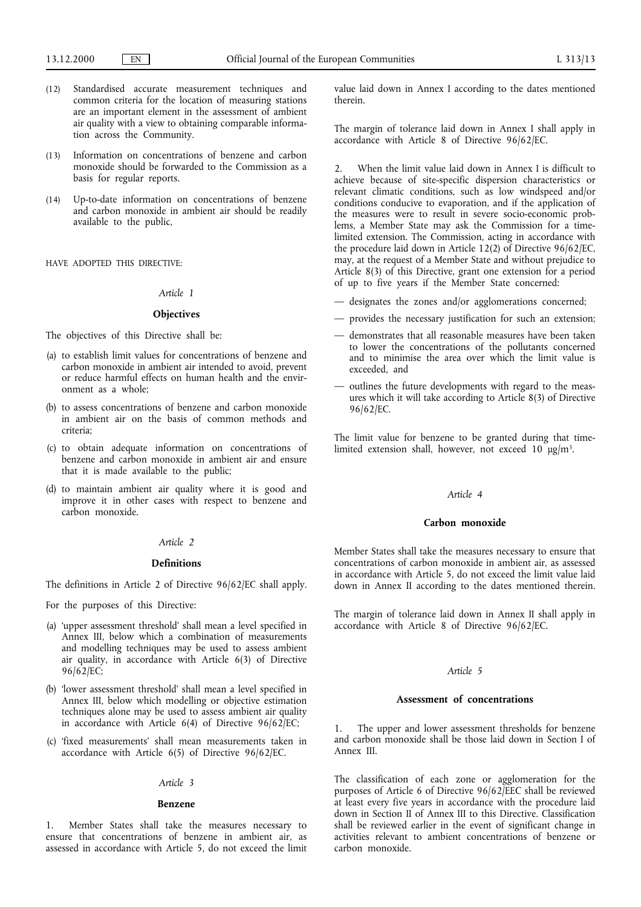- (12) Standardised accurate measurement techniques and common criteria for the location of measuring stations are an important element in the assessment of ambient air quality with a view to obtaining comparable information across the Community.
- (13) Information on concentrations of benzene and carbon monoxide should be forwarded to the Commission as a basis for regular reports.
- (14) Up-to-date information on concentrations of benzene and carbon monoxide in ambient air should be readily available to the public,

HAVE ADOPTED THIS DIRECTIVE:

#### *Article 1*

#### **Objectives**

- The objectives of this Directive shall be:
- (a) to establish limit values for concentrations of benzene and carbon monoxide in ambient air intended to avoid, prevent or reduce harmful effects on human health and the environment as a whole;
- (b) to assess concentrations of benzene and carbon monoxide in ambient air on the basis of common methods and criteria;
- (c) to obtain adequate information on concentrations of benzene and carbon monoxide in ambient air and ensure that it is made available to the public;
- (d) to maintain ambient air quality where it is good and improve it in other cases with respect to benzene and carbon monoxide.

#### *Article 2*

#### **Definitions**

The definitions in Article 2 of Directive 96/62/EC shall apply.

For the purposes of this Directive:

- (a) 'upper assessment threshold' shall mean a level specified in Annex III, below which a combination of measurements and modelling techniques may be used to assess ambient air quality, in accordance with Article 6(3) of Directive 96/62/EC;
- (b) 'lower assessment threshold' shall mean a level specified in Annex III, below which modelling or objective estimation techniques alone may be used to assess ambient air quality in accordance with Article 6(4) of Directive 96/62/EC;
- (c) 'fixed measurements' shall mean measurements taken in accordance with Article 6(5) of Directive 96/62/EC.

#### *Article 3*

#### **Benzene**

Member States shall take the measures necessary to ensure that concentrations of benzene in ambient air, as assessed in accordance with Article 5, do not exceed the limit value laid down in Annex I according to the dates mentioned therein.

The margin of tolerance laid down in Annex I shall apply in accordance with Article 8 of Directive 96/62/EC.

2. When the limit value laid down in Annex I is difficult to achieve because of site-specific dispersion characteristics or relevant climatic conditions, such as low windspeed and/or conditions conducive to evaporation, and if the application of the measures were to result in severe socio-economic problems, a Member State may ask the Commission for a timelimited extension. The Commission, acting in accordance with the procedure laid down in Article 12(2) of Directive 96/62/EC, may, at the request of a Member State and without prejudice to Article 8(3) of this Directive, grant one extension for a period of up to five years if the Member State concerned:

- designates the zones and/or agglomerations concerned;
- provides the necessary justification for such an extension;
- demonstrates that all reasonable measures have been taken to lower the concentrations of the pollutants concerned and to minimise the area over which the limit value is exceeded, and
- outlines the future developments with regard to the measures which it will take according to Article 8(3) of Directive 96/62/EC.

The limit value for benzene to be granted during that timelimited extension shall, however, not exceed  $10 \text{ µg/m}^3$ .

#### *Article 4*

## **Carbon monoxide**

Member States shall take the measures necessary to ensure that concentrations of carbon monoxide in ambient air, as assessed in accordance with Article 5, do not exceed the limit value laid down in Annex II according to the dates mentioned therein.

The margin of tolerance laid down in Annex II shall apply in accordance with Article 8 of Directive 96/62/EC.

#### *Article 5*

## **Assessment of concentrations**

1. The upper and lower assessment thresholds for benzene and carbon monoxide shall be those laid down in Section I of Annex III.

The classification of each zone or agglomeration for the purposes of Article 6 of Directive 96/62/EEC shall be reviewed at least every five years in accordance with the procedure laid down in Section II of Annex III to this Directive. Classification shall be reviewed earlier in the event of significant change in activities relevant to ambient concentrations of benzene or carbon monoxide.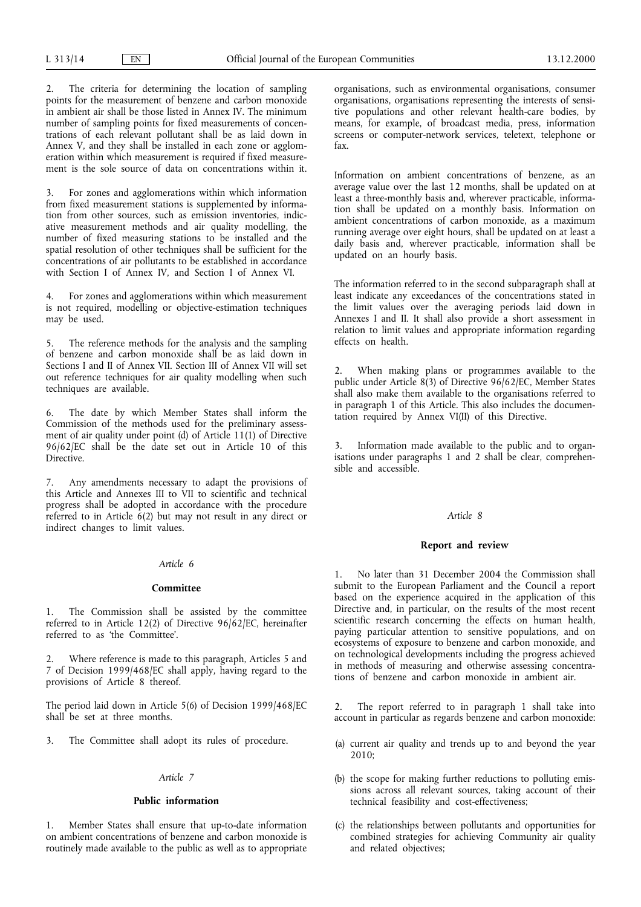2. The criteria for determining the location of sampling points for the measurement of benzene and carbon monoxide in ambient air shall be those listed in Annex IV. The minimum number of sampling points for fixed measurements of concentrations of each relevant pollutant shall be as laid down in Annex V, and they shall be installed in each zone or agglomeration within which measurement is required if fixed measurement is the sole source of data on concentrations within it.

For zones and agglomerations within which information from fixed measurement stations is supplemented by information from other sources, such as emission inventories, indicative measurement methods and air quality modelling, the number of fixed measuring stations to be installed and the spatial resolution of other techniques shall be sufficient for the concentrations of air pollutants to be established in accordance with Section I of Annex IV, and Section I of Annex VI.

4. For zones and agglomerations within which measurement is not required, modelling or objective-estimation techniques may be used.

5. The reference methods for the analysis and the sampling of benzene and carbon monoxide shall be as laid down in Sections I and II of Annex VII. Section III of Annex VII will set out reference techniques for air quality modelling when such techniques are available.

6. The date by which Member States shall inform the Commission of the methods used for the preliminary assessment of air quality under point (d) of Article 11(1) of Directive 96/62/EC shall be the date set out in Article 10 of this Directive.

7. Any amendments necessary to adapt the provisions of this Article and Annexes III to VII to scientific and technical progress shall be adopted in accordance with the procedure referred to in Article  $\dot{6}(2)$  but may not result in any direct or indirect changes to limit values.

## *Article 6*

#### **Committee**

1. The Commission shall be assisted by the committee referred to in Article 12(2) of Directive 96/62/EC, hereinafter referred to as 'the Committee'.

Where reference is made to this paragraph, Articles 5 and 7 of Decision 1999/468/EC shall apply, having regard to the provisions of Article 8 thereof.

The period laid down in Article 5(6) of Decision 1999/468/EC shall be set at three months.

3. The Committee shall adopt its rules of procedure.

## *Article 7*

#### **Public information**

1. Member States shall ensure that up-to-date information on ambient concentrations of benzene and carbon monoxide is routinely made available to the public as well as to appropriate organisations, such as environmental organisations, consumer organisations, organisations representing the interests of sensitive populations and other relevant health-care bodies, by means, for example, of broadcast media, press, information screens or computer-network services, teletext, telephone or fax.

Information on ambient concentrations of benzene, as an average value over the last 12 months, shall be updated on at least a three-monthly basis and, wherever practicable, information shall be updated on a monthly basis. Information on ambient concentrations of carbon monoxide, as a maximum running average over eight hours, shall be updated on at least a daily basis and, wherever practicable, information shall be updated on an hourly basis.

The information referred to in the second subparagraph shall at least indicate any exceedances of the concentrations stated in the limit values over the averaging periods laid down in Annexes I and II. It shall also provide a short assessment in relation to limit values and appropriate information regarding effects on health.

2. When making plans or programmes available to the public under Article 8(3) of Directive 96/62/EC, Member States shall also make them available to the organisations referred to in paragraph 1 of this Article. This also includes the documentation required by Annex VI(II) of this Directive.

3. Information made available to the public and to organisations under paragraphs 1 and 2 shall be clear, comprehensible and accessible.

## *Article 8*

#### **Report** and review

1. No later than 31 December 2004 the Commission shall submit to the European Parliament and the Council a report based on the experience acquired in the application of this Directive and, in particular, on the results of the most recent scientific research concerning the effects on human health, paying particular attention to sensitive populations, and on ecosystems of exposure to benzene and carbon monoxide, and on technological developments including the progress achieved in methods of measuring and otherwise assessing concentrations of benzene and carbon monoxide in ambient air.

2. The report referred to in paragraph 1 shall take into account in particular as regards benzene and carbon monoxide:

- (a) current air quality and trends up to and beyond the year  $2010$
- (b) the scope for making further reductions to polluting emissions across all relevant sources, taking account of their technical feasibility and cost-effectiveness;
- (c) the relationships between pollutants and opportunities for combined strategies for achieving Community air quality and related objectives;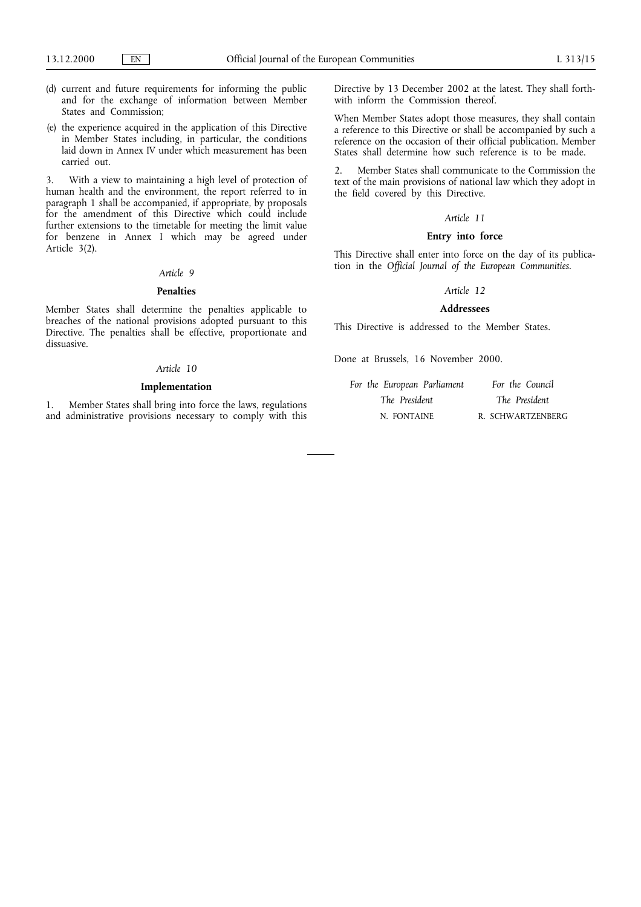- (d) current and future requirements for informing the public and for the exchange of information between Member States and Commission;
- (e) the experience acquired in the application of this Directive in Member States including, in particular, the conditions laid down in Annex IV under which measurement has been carried out.

3. With a view to maintaining a high level of protection of human health and the environment, the report referred to in paragraph 1 shall be accompanied, if appropriate, by proposals for the amendment of this Directive which could include further extensions to the timetable for meeting the limit value for benzene in Annex I which may be agreed under Article 3(2).

## *Article 9*

## **Penalties**

Member States shall determine the penalties applicable to breaches of the national provisions adopted pursuant to this Directive. The penalties shall be effective, proportionate and dissuasive.

#### *Article 10*

#### **Implementation**

1. Member States shall bring into force the laws, regulations and administrative provisions necessary to comply with this Directive by 13 December 2002 at the latest. They shall forthwith inform the Commission thereof.

When Member States adopt those measures, they shall contain a reference to this Directive or shall be accompanied by such a reference on the occasion of their official publication. Member States shall determine how such reference is to be made.

2. Member States shall communicate to the Commission the text of the main provisions of national law which they adopt in the field covered by this Directive.

## *Article 11*

## **Entry into force**

This Directive shall enter into force on the day of its publication in the *Official Journal of the European Communities*.

## *Article 12*

## **Addressees**

This Directive is addressed to the Member States.

Done at Brussels, 16 November 2000.

| For the European Parliament | For the Council   |
|-----------------------------|-------------------|
| The President               | The President     |
| N. FONTAINE                 | R. SCHWARTZENBERG |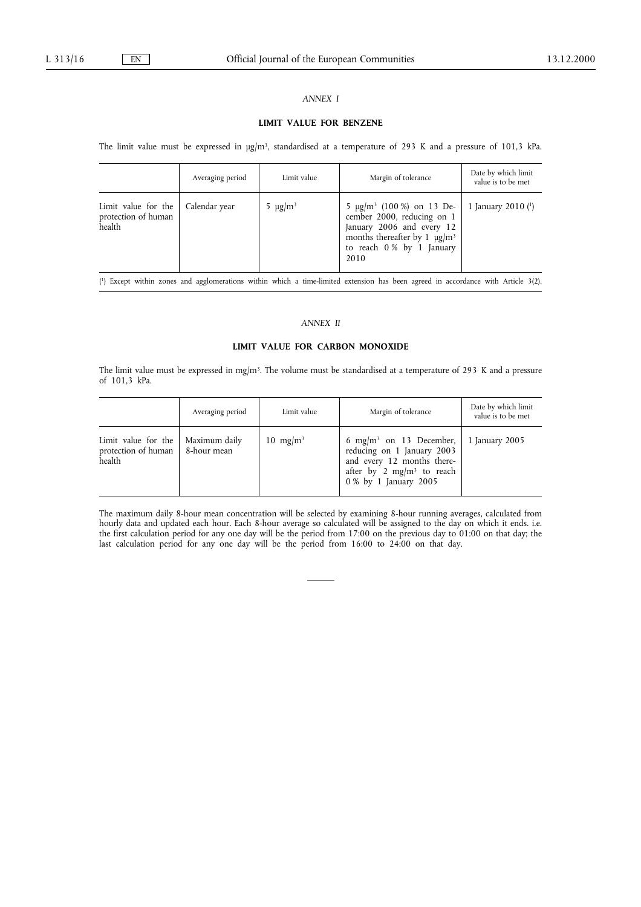## *ANNEX I*

## **LIMIT VALUE FOR BENZENE**

The limit value must be expressed in  $\mu g/m^3$ , standardised at a temperature of 293 K and a pressure of 101,3 kPa.

|                                                      | Averaging period | Limit value              | Margin of tolerance                                                                                                                                                                        | Date by which limit<br>value is to be met |
|------------------------------------------------------|------------------|--------------------------|--------------------------------------------------------------------------------------------------------------------------------------------------------------------------------------------|-------------------------------------------|
| Limit value for the<br>protection of human<br>health | Calendar year    | 5 $\mu$ g/m <sup>3</sup> | 5 $\mu$ g/m <sup>3</sup> (100 %) on 13 De-<br>cember 2000, reducing on 1<br>January 2006 and every 12<br>months thereafter by 1 $\mu$ g/m <sup>3</sup><br>to reach 0% by 1 January<br>2010 | 1 January 2010 $(1)$                      |

( 1) Except within zones and agglomerations within which a time-limited extension has been agreed in accordance with Article 3(2).

## *ANNEX II*

## **LIMIT VALUE FOR CARBON MONOXIDE**

The limit value must be expressed in mg/m3. The volume must be standardised at a temperature of 293 K and a pressure of 101,3 kPa.

|                                                      | Averaging period             | Limit value          | Margin of tolerance                                                                                                                                               | Date by which limit<br>value is to be met |
|------------------------------------------------------|------------------------------|----------------------|-------------------------------------------------------------------------------------------------------------------------------------------------------------------|-------------------------------------------|
| Limit value for the<br>protection of human<br>health | Maximum daily<br>8-hour mean | 10 mg/m <sup>3</sup> | 6 mg/m <sup>3</sup> on 13 December,<br>reducing on 1 January 2003<br>and every 12 months there-<br>after by 2 mg/m <sup>3</sup> to reach<br>0 % by 1 January 2005 | 1 January 2005                            |

The maximum daily 8-hour mean concentration will be selected by examining 8-hour running averages, calculated from hourly data and updated each hour. Each 8-hour average so calculated will be assigned to the day on which it ends. i.e. the first calculation period for any one day will be the period from 17:00 on the previous day to 01:00 on that day; the last calculation period for any one day will be the period from 16:00 to 24:00 on that day.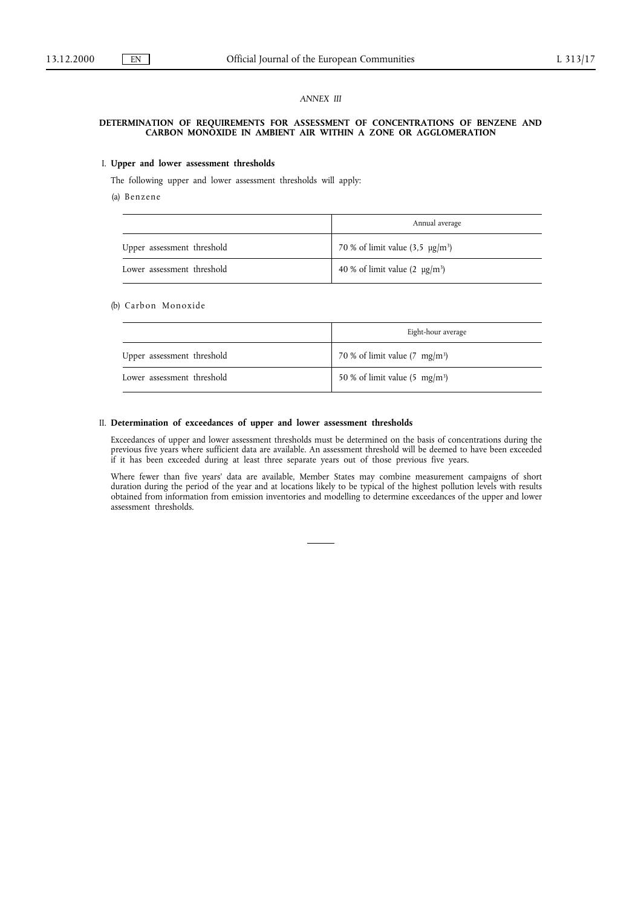## *ANNEX III*

#### **DETERMINATION OF REQUIREMENTS FOR ASSESSMENT OF CONCENTRATIONS OF BENZENE AND CARBON MONOXIDE IN AMBIENT AIR WITHIN A ZONE OR AGGLOMERATION**

#### I. Upper and lower assessment thresholds

The following upper and lower assessment thresholds will apply:

(a) Benzene

|                            | Annual average                             |
|----------------------------|--------------------------------------------|
| Upper assessment threshold | 70 % of limit value $(3.5 \text{ µg/m}^3)$ |
| Lower assessment threshold | 40 % of limit value $(2 \mu g/m^3)$        |

#### (b) Carbon Monoxide

|                            | Eight-hour average                       |
|----------------------------|------------------------------------------|
| Upper assessment threshold | 70 % of limit value $(7 \text{ mg/m}^3)$ |
| Lower assessment threshold | 50 % of limit value $(5 \text{ mg/m}^3)$ |

## II. **Determination of exceedances of upper and lower assessment thresholds**

Exceedances of upper and lower assessment thresholds must be determined on the basis of concentrations during the previous five years where sufficient data are available. An assessment threshold will be deemed to have been exceeded if it has been exceeded during at least three separate years out of those previous five years.

Where fewer than five years' data are available, Member States may combine measurement campaigns of short duration during the period of the year and at locations likely to be typical of the highest pollution levels with results obtained from information from emission inventories and modelling to determine exceedances of the upper and lower assessment thresholds.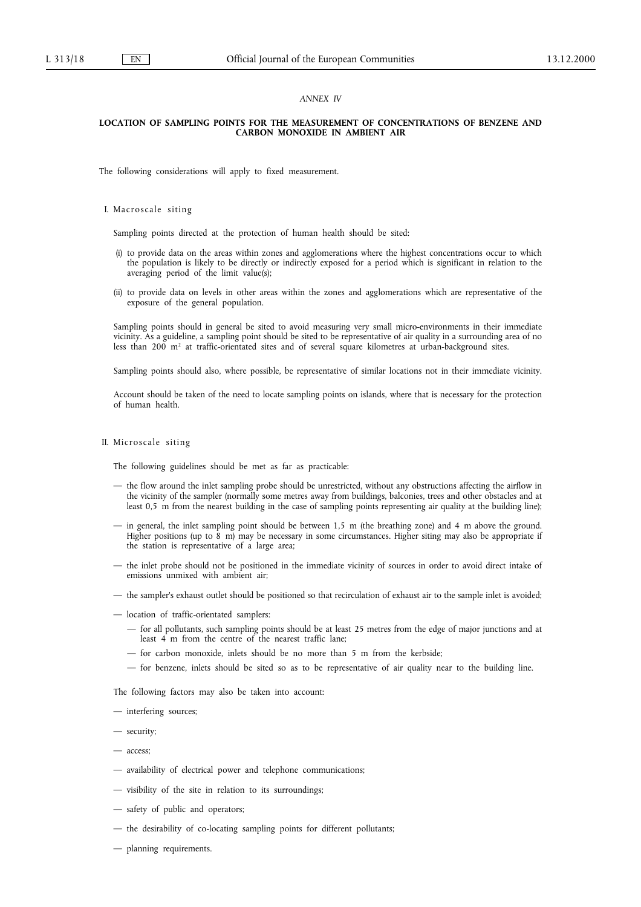## *ANNEX IV*

## **LOCATION OF SAMPLING POINTS FOR THE MEASUREMENT OF CONCENTRATIONS OF BENZENE AND CARBON MONOXIDE IN AMBIENT AIR**

The following considerations will apply to fixed measurement.

I. Macroscale siting

Sampling points directed at the protection of human health should be sited:

- (i) to provide data on the areas within zones and agglomerations where the highest concentrations occur to which the population is likely to be directly or indirectly exposed for a period which is significant in relation to the averaging period of the limit value(s);
- (ii) to provide data on levels in other areas within the zones and agglomerations which are representative of the exposure of the general population.

Sampling points should in general be sited to avoid measuring very small micro-environments in their immediate vicinity. As a guideline, a sampling point should be sited to be representative of air quality in a surrounding area of no less than 200 m<sup>2</sup> at traffic-orientated sites and of several square kilometres at urban-background sites.

Sampling points should also, where possible, be representative of similar locations not in their immediate vicinity.

Account should be taken of the need to locate sampling points on islands, where that is necessary for the protection of human health.

#### II. Microscale siting

The following guidelines should be met as far as practicable:

- the flow around the inlet sampling probe should be unrestricted, without any obstructions affecting the airflow in the vicinity of the sampler (normally some metres away from buildings, balconies, trees and other obstacles and at least 0,5 m from the nearest building in the case of sampling points representing air quality at the building line);
- in general, the inlet sampling point should be between 1,5 m (the breathing zone) and 4 m above the ground. Higher positions (up to 8 m) may be necessary in some circumstances. Higher siting may also be appropriate if the station is representative of a large area;
- the inlet probe should not be positioned in the immediate vicinity of sources in order to avoid direct intake of emissions unmixed with ambient air;
- the sampler's exhaust outlet should be positioned so that recirculation of exhaust air to the sample inlet is avoided;
- location of traffic-orientated samplers:
	- for all pollutants, such sampling points should be at least 25 metres from the edge of major junctions and at least 4 m from the centre of the nearest traffic lane;
	- for carbon monoxide, inlets should be no more than 5 m from the kerbside;
	- for benzene, inlets should be sited so as to be representative of air quality near to the building line.

The following factors may also be taken into account:

- interfering sources;
- security;
- access;
- availability of electrical power and telephone communications;
- visibility of the site in relation to its surroundings;
- safety of public and operators;
- the desirability of co-locating sampling points for different pollutants;
- planning requirements.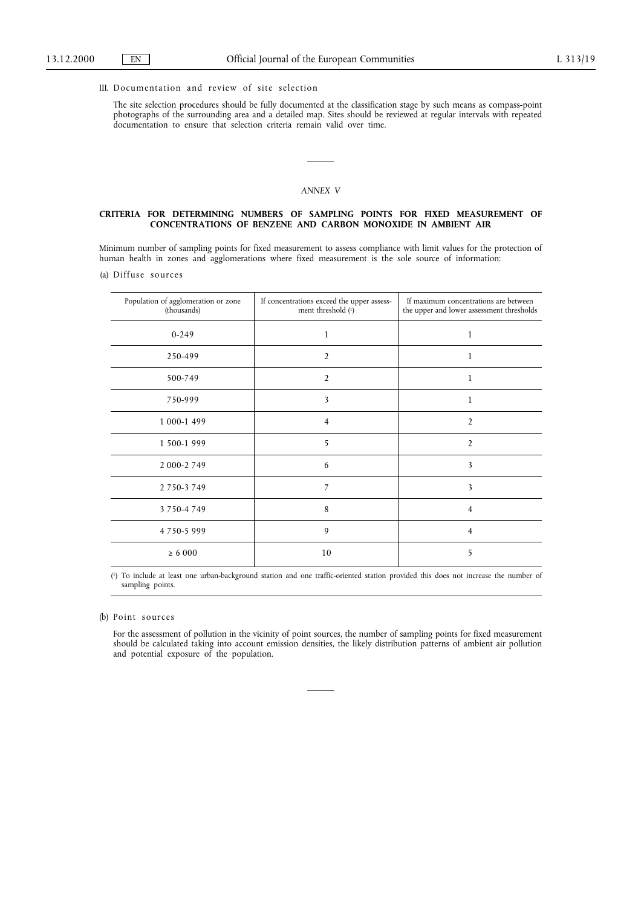## III. Documentation and review of site selection

The site selection procedures should be fully documented at the classification stage by such means as compass-point photographs of the surrounding area and a detailed map. Sites should be reviewed at regular intervals with repeated documentation to ensure that selection criteria remain valid over time.

#### *ANNEX V*

#### **CRITERIA FOR DETERMINING NUMBERS OF SAMPLING POINTS FOR FIXED MEASUREMENT OF CONCENTRATIONS OF BENZENE AND CARBON MONOXIDE IN AMBIENT AIR**

Minimum number of sampling points for fixed measurement to assess compliance with limit values for the protection of human health in zones and agglomerations where fixed measurement is the sole source of information:

(a) Diffuse sources

| Population of agglomeration or zone<br>(thousands) | If concentrations exceed the upper assess-<br>ment threshold (1) | If maximum concentrations are between<br>the upper and lower assessment thresholds |
|----------------------------------------------------|------------------------------------------------------------------|------------------------------------------------------------------------------------|
| $0 - 249$                                          | $\mathbf{1}$                                                     | $\mathbf{1}$                                                                       |
| 250-499                                            | 2                                                                | 1                                                                                  |
| 500-749                                            | 2                                                                | 1                                                                                  |
| 750-999                                            | 3                                                                | 1                                                                                  |
| 1 000-1 499                                        | $\overline{4}$                                                   | $\overline{2}$                                                                     |
| 1 500-1 999                                        | 5                                                                | $\overline{2}$                                                                     |
| 2 000-2 749                                        | 6                                                                | 3                                                                                  |
| 2 7 5 0 - 3 7 4 9                                  | 7                                                                | 3                                                                                  |
| 3 7 5 0 - 4 7 4 9                                  | 8                                                                | 4                                                                                  |
| 4750-5999                                          | 9                                                                | 4                                                                                  |
| $\ge 6000$                                         | 10                                                               | 5                                                                                  |

( 1) To include at least one urban-background station and one traffic-oriented station provided this does not increase the number of sampling points.

(b) Point sources

For the assessment of pollution in the vicinity of point sources, the number of sampling points for fixed measurement should be calculated taking into account emission densities, the likely distribution patterns of ambient air pollution and potential exposure of the population.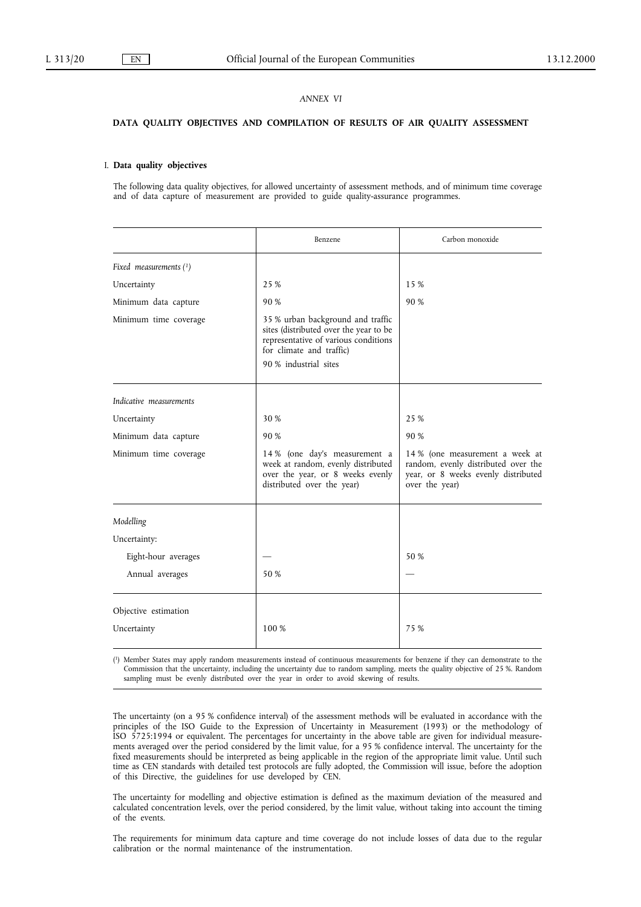## *ANNEX VI*

# **DATA QUALITY OBJECTIVES AND COMPILATION OF RESULTS OF AIR QUALITY ASSESSMENT**

#### I. **Data quality objectives**

The following data quality objectives, for allowed uncertainty of assessment methods, and of minimum time coverage and of data capture of measurement are provided to guide quality-assurance programmes.

|                          | Benzene                                                                                                                                                                  | Carbon monoxide                                                                                                                 |
|--------------------------|--------------------------------------------------------------------------------------------------------------------------------------------------------------------------|---------------------------------------------------------------------------------------------------------------------------------|
| Fixed measurements $(1)$ |                                                                                                                                                                          |                                                                                                                                 |
| Uncertainty              | 25 %                                                                                                                                                                     | 15 %                                                                                                                            |
| Minimum data capture     | 90 %                                                                                                                                                                     | 90 %                                                                                                                            |
| Minimum time coverage    | 35 % urban background and traffic<br>sites (distributed over the year to be<br>representative of various conditions<br>for climate and traffic)<br>90 % industrial sites |                                                                                                                                 |
| Indicative measurements  |                                                                                                                                                                          |                                                                                                                                 |
| Uncertainty              | 30 %                                                                                                                                                                     | 25 %                                                                                                                            |
| Minimum data capture     | 90 %                                                                                                                                                                     | 90 %                                                                                                                            |
| Minimum time coverage    | 14 % (one day's measurement a<br>week at random, evenly distributed<br>over the year, or 8 weeks evenly<br>distributed over the year)                                    | 14 % (one measurement a week at<br>random, evenly distributed over the<br>year, or 8 weeks evenly distributed<br>over the year) |
| Modelling                |                                                                                                                                                                          |                                                                                                                                 |
| Uncertainty:             |                                                                                                                                                                          |                                                                                                                                 |
| Eight-hour averages      |                                                                                                                                                                          | 50 %                                                                                                                            |
| Annual averages          | 50 %                                                                                                                                                                     |                                                                                                                                 |
| Objective estimation     |                                                                                                                                                                          |                                                                                                                                 |
| Uncertainty              | 100 %                                                                                                                                                                    | 75 %                                                                                                                            |

( 1) Member States may apply random measurements instead of continuous measurements for benzene if they can demonstrate to the Commission that the uncertainty, including the uncertainty due to random sampling, meets the quality objective of 25 %. Random sampling must be evenly distributed over the year in order to avoid skewing of results.

The uncertainty (on a 95 % confidence interval) of the assessment methods will be evaluated in accordance with the principles of the ISO Guide to the Expression of Uncertainty in Measurement (1993) or the methodology of ISO 5725:1994 or equivalent. The percentages for uncertainty in the above table are given for individual measurements averaged over the period considered by the limit value, for a 95 % confidence interval. The uncertainty for the fixed measurements should be interpreted as being applicable in the region of the appropriate limit value. Until such time as CEN standards with detailed test protocols are fully adopted, the Commission will issue, before the adoption of this Directive, the guidelines for use developed by CEN.

The uncertainty for modelling and objective estimation is defined as the maximum deviation of the measured and calculated concentration levels, over the period considered, by the limit value, without taking into account the timing of the events.

The requirements for minimum data capture and time coverage do not include losses of data due to the regular calibration or the normal maintenance of the instrumentation.